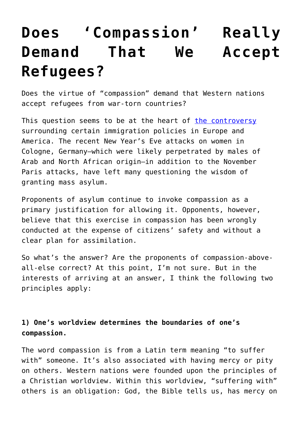## **[Does 'Compassion' Really](https://intellectualtakeout.org/2016/01/does-compassion-really-demand-that-we-accept-refugees/) [Demand That We Accept](https://intellectualtakeout.org/2016/01/does-compassion-really-demand-that-we-accept-refugees/) [Refugees?](https://intellectualtakeout.org/2016/01/does-compassion-really-demand-that-we-accept-refugees/)**

Does the virtue of "compassion" demand that Western nations accept refugees from war-torn countries?

This question seems to be at the heart of [the controversy](http://www.nytimes.com/2016/01/10/opinion/sunday/germany-on-the-brink.html?_r=0) surrounding certain immigration policies in Europe and America. The recent New Year's Eve attacks on women in Cologne, Germany—which were likely perpetrated by males of Arab and North African origin—in addition to the November Paris attacks, have left many questioning the wisdom of granting mass asylum.

Proponents of asylum continue to invoke compassion as a primary justification for allowing it. Opponents, however, believe that this exercise in compassion has been wrongly conducted at the expense of citizens' safety and without a clear plan for assimilation.

So what's the answer? Are the proponents of compassion-aboveall-else correct? At this point, I'm not sure. But in the interests of arriving at an answer, I think the following two principles apply:

## **1) One's worldview determines the boundaries of one's compassion.**

The word compassion is from a Latin term meaning "to suffer with" someone. It's also associated with having mercy or pity on others. Western nations were founded upon the principles of a Christian worldview. Within this worldview, "suffering with" others is an obligation: God, the Bible tells us, has mercy on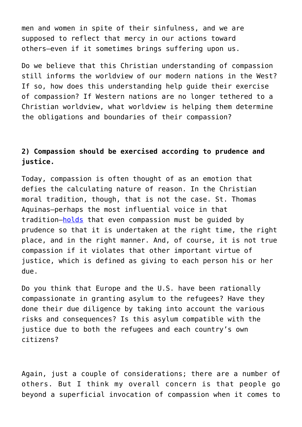men and women in spite of their sinfulness, and we are supposed to reflect that mercy in our actions toward others—even if it sometimes brings suffering upon us.

Do we believe that this Christian understanding of compassion still informs the worldview of our modern nations in the West? If so, how does this understanding help guide their exercise of compassion? If Western nations are no longer tethered to a Christian worldview, what worldview is helping them determine the obligations and boundaries of their compassion?

## **2) Compassion should be exercised according to prudence and justice.**

Today, compassion is often thought of as an emotion that defies the calculating nature of reason. In the Christian moral tradition, though, that is not the case. St. Thomas Aquinas—perhaps the most influential voice in that tradition—[holds](http://ww.gsc.ac.nz/resources/PBRF/Ryan%20NRO1%20Aquinas%20on%20Compassion.pdf) that even compassion must be guided by prudence so that it is undertaken at the right time, the right place, and in the right manner. And, of course, it is not true compassion if it violates that other important virtue of justice, which is defined as giving to each person his or her due.

Do you think that Europe and the U.S. have been rationally compassionate in granting asylum to the refugees? Have they done their due diligence by taking into account the various risks and consequences? Is this asylum compatible with the justice due to both the refugees and each country's own citizens?

Again, just a couple of considerations; there are a number of others. But I think my overall concern is that people go beyond a superficial invocation of compassion when it comes to